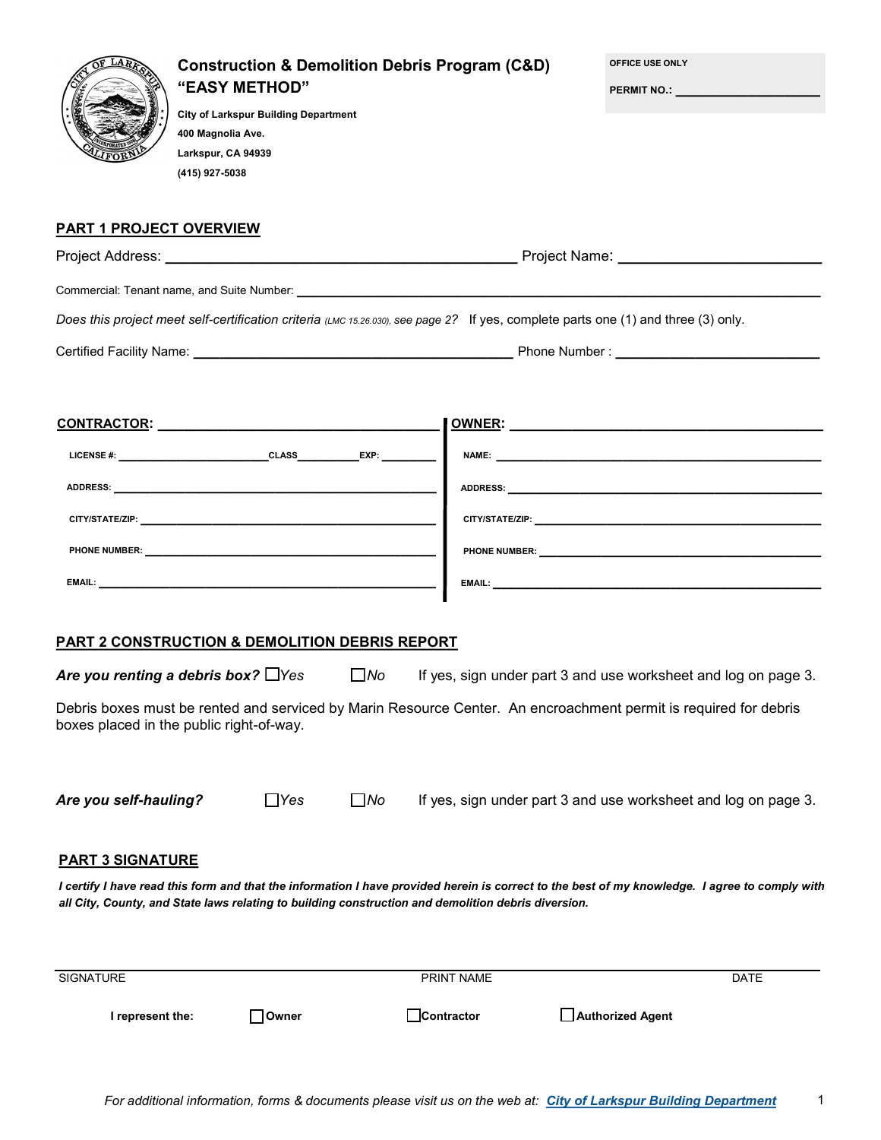| LAR                                                                                                                                                                                                                            | "EASY METHOD"<br>400 Magnolia Ave.<br>Larkspur, CA 94939<br>(415) 927-5038 | <b>City of Larkspur Building Department</b> |              | <b>Construction &amp; Demolition Debris Program (C&amp;D)</b> | OFFICE USE ONLY  | <b>PERMIT NO.:</b> _________________________                                                                                                                                                                                   |
|--------------------------------------------------------------------------------------------------------------------------------------------------------------------------------------------------------------------------------|----------------------------------------------------------------------------|---------------------------------------------|--------------|---------------------------------------------------------------|------------------|--------------------------------------------------------------------------------------------------------------------------------------------------------------------------------------------------------------------------------|
| <b>PART 1 PROJECT OVERVIEW</b>                                                                                                                                                                                                 |                                                                            |                                             |              |                                                               |                  |                                                                                                                                                                                                                                |
|                                                                                                                                                                                                                                |                                                                            |                                             |              |                                                               |                  |                                                                                                                                                                                                                                |
|                                                                                                                                                                                                                                |                                                                            |                                             |              |                                                               |                  |                                                                                                                                                                                                                                |
| Does this project meet self-certification criteria (LMC 15.26.030), see page 2? If yes, complete parts one (1) and three (3) only.                                                                                             |                                                                            |                                             |              |                                                               |                  |                                                                                                                                                                                                                                |
|                                                                                                                                                                                                                                |                                                                            |                                             |              |                                                               |                  |                                                                                                                                                                                                                                |
|                                                                                                                                                                                                                                |                                                                            |                                             |              |                                                               |                  |                                                                                                                                                                                                                                |
|                                                                                                                                                                                                                                |                                                                            |                                             |              |                                                               |                  |                                                                                                                                                                                                                                |
|                                                                                                                                                                                                                                |                                                                            |                                             |              |                                                               |                  |                                                                                                                                                                                                                                |
| CITY/STATE/ZIP: WE CONSIDER THE CONSIDERED ASSOCIATED AND THE CONSIDERED ASSOCIATED AND THE CONSIDERED ASSOCIATED AND THE CONSIDERED ASSOCIATED ASSOCIATED AND THE CONSIDERED ASSOCIATED ASSOCIATED ASSOCIATED ASSOCIATED ASSO |                                                                            |                                             |              |                                                               |                  | CITY/STATE/ZIP: WebSite Communications of the Communication of the Communication of the Communication of the Communication of the Communication of the Communication of the Communication of the Communication of the Communic |
|                                                                                                                                                                                                                                |                                                                            |                                             |              |                                                               |                  |                                                                                                                                                                                                                                |
|                                                                                                                                                                                                                                |                                                                            |                                             |              |                                                               |                  |                                                                                                                                                                                                                                |
|                                                                                                                                                                                                                                |                                                                            |                                             |              |                                                               |                  |                                                                                                                                                                                                                                |
| <b>PART 2 CONSTRUCTION &amp; DEMOLITION DEBRIS REPORT</b>                                                                                                                                                                      |                                                                            |                                             |              |                                                               |                  |                                                                                                                                                                                                                                |
| Are you renting a debris box? $\Box$ Yes                                                                                                                                                                                       |                                                                            |                                             | $\square$ No |                                                               |                  | If yes, sign under part 3 and use worksheet and log on page 3.                                                                                                                                                                 |
| Debris boxes must be rented and serviced by Marin Resource Center. An encroachment permit is required for debris<br>boxes placed in the public right-of-way.                                                                   |                                                                            |                                             |              |                                                               |                  |                                                                                                                                                                                                                                |
| Are you self-hauling?                                                                                                                                                                                                          |                                                                            | $\Box$ Yes                                  | $\square$ No |                                                               |                  | If yes, sign under part 3 and use worksheet and log on page 3.                                                                                                                                                                 |
| <b>PART 3 SIGNATURE</b>                                                                                                                                                                                                        |                                                                            |                                             |              |                                                               |                  |                                                                                                                                                                                                                                |
| all City, County, and State laws relating to building construction and demolition debris diversion.                                                                                                                            |                                                                            |                                             |              |                                                               |                  | I certify I have read this form and that the information I have provided herein is correct to the best of my knowledge. I agree to comply with                                                                                 |
| SIGNATURE                                                                                                                                                                                                                      |                                                                            |                                             |              | PRINT NAME                                                    |                  | <b>DATE</b>                                                                                                                                                                                                                    |
| I represent the:                                                                                                                                                                                                               |                                                                            | <b>Owner</b>                                |              | Contractor                                                    | Authorized Agent |                                                                                                                                                                                                                                |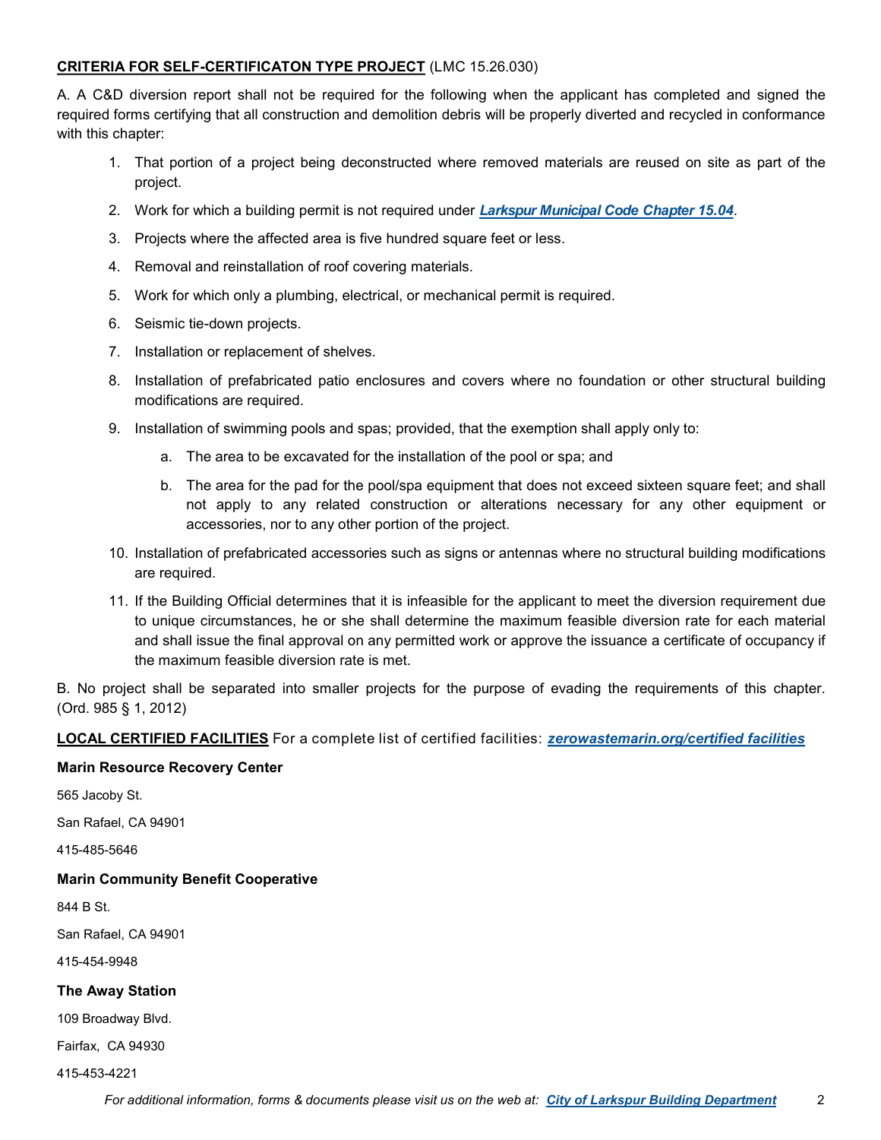### **CRITERIA FOR SELF-CERTIFICATON TYPE PROJECT** (LMC 15.26.030)

A. A C&D diversion report shall not be required for the following when the applicant has completed and signed the required forms certifying that all construction and demolition debris will be properly diverted and recycled in conformance with this chapter:

- 1. That portion of a project being deconstructed where removed materials are reused on site as part of the project.
- 2. Work for which a building permit is not required under *Larkspur Municipal Code Chapter 15.04*.
- 3. Projects where the affected area is five hundred square feet or less.
- 4. Removal and reinstallation of roof covering materials.
- 5. Work for which only a plumbing, electrical, or mechanical permit is required.
- 6. Seismic tie-down projects.
- 7. Installation or replacement of shelves.
- 8. Installation of prefabricated patio enclosures and covers where no foundation or other structural building modifications are required.
- 9. Installation of swimming pools and spas; provided, that the exemption shall apply only to:
	- a. The area to be excavated for the installation of the pool or spa; and
	- b. The area for the pad for the pool/spa equipment that does not exceed sixteen square feet; and shall not apply to any related construction or alterations necessary for any other equipment or accessories, nor to any other portion of the project.
- 10. Installation of prefabricated accessories such as signs or antennas where no structural building modifications are required.
- 11. If the Building Official determines that it is infeasible for the applicant to meet the diversion requirement due to unique circumstances, he or she shall determine the maximum feasible diversion rate for each material and shall issue the final approval on any permitted work or approve the issuance a certificate of occupancy if the maximum feasible diversion rate is met.

B. No project shall be separated into smaller projects for the purpose of evading the requirements of this chapter. (Ord. 985 § 1, 2012)

**LOCAL CERTIFIED FACILITIES** For a complete list of certified facilities: *zerowastemarin.org/certified facilities*

#### **Marin Resource Recovery Center**

565 Jacoby St.

San Rafael, CA 94901

415-485-5646

#### **Marin Community Benefit Cooperative**

844 B St.

San Rafael, CA 94901

415-454-9948

#### **The Away Station**

109 Broadway Blvd.

Fairfax, CA 94930

415-453-4221